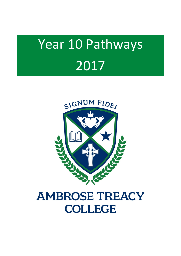# Year 10 Pathways 2017



## **AMBROSE TREACY COLLEGE**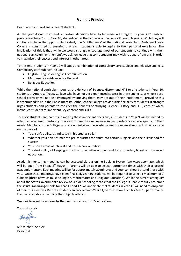#### **From the Principal**

Dear Parents, Guardians of Year 9 students

As the year draws to an end, important decisions have to be made with regard to your son's subject preferences for 2017. In Year 10, students enter the first year of the Senior Phase of learning. While they will continue to have the opportunity to study the 'entitlements' of the national curriculum, Ambrose Treacy College is committed to ensuring that each student is able to aspire to their personal excellence. The implication of this is that, while we would strongly encourage most of our students to continue with their national curriculum 'entitlement', we acknowledge that some students may wish to depart from this, in order to maximise their success and interest in other areas.

To this end, students in Year 10 will study a combination of compulsory core subjects and elective subjects. Compulsory core subjects include:

- English English or English Communication
- Mathematics Advanced or General
- Religious Education

While the national curriculum requires the delivery of Science, History and HPE to all students in Year 10, students at Ambrose Treacy College who have not yet experienced success in these subjects, or whose postschool pathway will not be advantaged by studying them, may opt out of their 'entitlement', providing this is determined to be in their best interests. Although the College provides this flexibility to students, it strongly urges students and parents to consider the benefits of studying Science, History and HPE, each of which introduce students to important key content and skills.

To assist students and parents in making these important decisions, all students in Year 9 will be invited to attend an academic mentoring interview, where they will receive subject preference advice specific to their needs. Members of the College, who are undertaking the academic mentoring meetings, will provide advice on the basis of:

- Your son's ability, as indicated in his studies so far
- Whether your son has met the pre-requisites for entry into certain subjects and their likelihood for success
- Your son's areas of interest and post-school ambition
- The desirability of keeping more than one pathway open and for a rounded, broad and balanced education.

Academic mentoring meetings can be accessed via our online Booking System (www.sobs.com.au), which will be open from Friday 5<sup>th</sup> August. Parents will be able to select appropriate times with their allocated academic mentor. Each meeting will be for approximately 20 minutes and your son should attend these with you. Once these meetings have been finalised, Year 10 students will be required to select a maximum of 7 subjects (three of which must be English, Mathematics and Religious Education). While the current ambiguity about the State Government's review of Senior Schooling means that the College is unable to fully pre-empt the structural arrangements for Year 11 and 12, we anticipate that students in Year 11 will need to drop one of their four electives. Before a student can proceed into Year 11, he must show from his Year 10 performance that he is capable of handling the subjects offered.

We look forward to working further with you in your son's education.

Yours sincerely

Mr Michael Senior Principal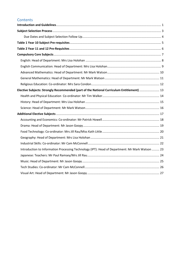### **Contents**

| Elective Subjects: Strongly Recommended (part of the National Curriculum Entitlement)  13       |  |
|-------------------------------------------------------------------------------------------------|--|
|                                                                                                 |  |
|                                                                                                 |  |
|                                                                                                 |  |
|                                                                                                 |  |
|                                                                                                 |  |
|                                                                                                 |  |
|                                                                                                 |  |
|                                                                                                 |  |
|                                                                                                 |  |
| Introduction to Information Processing Technology (IPT): Head of Department: Mr Mark Watson  23 |  |
|                                                                                                 |  |
|                                                                                                 |  |
|                                                                                                 |  |
|                                                                                                 |  |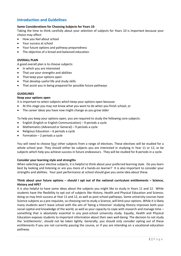#### <span id="page-3-0"></span>**Introduction and Guidelines**

#### **Some Considerations for Choosing Subjects for Years 10**

Taking the time to think carefully about your selection of subjects for Years 10 is important because your choice may affect:

- How you feel about school
- Your success at school
- Your future options and pathway preparedness
- The objective of a broad and balanced education.

#### **OVERALL PLAN**

A good overall plan is to choose subjects:

- In which you are interested
- That use your strengths and abilities
- That keep your options open
- That develop useful life and study skills
- That assist you in being prepared for possible future pathways

#### **GUIDELINES**

#### **Keep your options open**

It is important to select subjects which keep your options open because:

- At this stage you may not know what you want to do when you finish school, or
- The career ideas you have now might change as you grow older

To help you keep your options open, you are required to study the following core subjects:

- English (English or English Communication) 9 periods a cycle
- Mathematics (Advanced or General) 9 periods a cycle
- Religious Education  $-6$  periods a cycle
- Formation 2 periods a cycle

You will need to choose four other subjects from a range of electives. These electives will be studied for a whole school year. They should either be subjects you are interested in studying in Year 11 or 12, or be subjects which help you achieve success in future endeavours. They will be studied for 8 periods in a cycle.

#### **Consider your learning style and strengths**

When selecting your elective subjects, it is helpful to think about your preferred learning style. Do you learn best by looking and listening or are you more of a hands-on learner? It is also important to consider your strengths and abilities. Your past performance at school should give you some idea about these.

#### **Think about your future options – should I opt out of the national curriculum entitlements – Science, History and HPE?**

It is also helpful to have some ideas about the subjects you might like to study in Years 11 and 12. While students have the flexibility to opt out of subjects like History, Health and Physical Education and Science, doing so may limit success at Year 11 and 12, as well as post-school pathways. Some university courses have Science subjects as a pre-requisite, so choosing not to study a Science, will limit your options. While it is likely many students won't leave school with the aim of 'being a Historian' studying History improves both your social capital and knowledge of the world, as well as your capacity to cope with research and manage time – something that is absolutely essential in any post-school university study. Equally, Health and Physical Education exposes students to important information about their own well-being. The decision to not study the 'entitlements', should not be taken lightly. Generally, you should only consider opting out of these entitlements if you are not currently passing the course, or if you are intending on a vocational education pathway.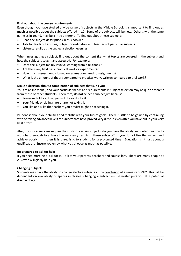#### **Find out about the course requirements**

Even though you have studied a wide range of subjects in the Middle School, it is important to find out as much as possible about the subjects offered in 10. Some of the subjects will be new. Others, with the same name as in Year 9, may be a little different. To find out about these subjects:

- Read the subject descriptions in this booklet
- Talk to Heads of Faculties, Subject Coordinators and teachers of particular subjects
- Listen carefully at the subject selection evening

When investigating a subject, find out about the content (i.e. what topics are covered in the subject) and how the subject is taught and assessed. For example:

- Does the subject mainly involve learning from a textbook?
- Are there any field trips, practical work or experiments?
- How much assessment is based on exams compared to assignments?
- What is the amount of theory compared to practical work, written compared to oral work?

#### **Make a decision about a combination of subjects that suits you**

You are an individual, and your particular needs and requirements in subject selection may be quite different from those of other students. Therefore, **do not** select a subject just because:

- Someone told you that you will like or dislike it
- Your friends or siblings are or are not taking it
- You like or dislike the teachers you predict might be teaching it.

Be honest about your abilities and realistic with your future goals. There is little to be gained by continuing with or taking advanced levels of subjects that have proved very difficult even after you have put in your very best effort.

Also, if your career aims require the study of certain subjects, do you have the ability and determination to work hard enough to achieve the necessary results in those subjects? If you do not like the subject and achieve poorly in it, then it is unrealistic to study it for a prolonged time. Education isn't just about a qualification. Ensure you enjoy what you choose as much as possible.

#### **Be prepared to ask for help**

If you need more help, ask for it. Talk to your parents, teachers and counsellors. There are many people at ATC who will gladly help you.

#### **Changing Subjects**

Students may have the ability to change elective subjects at the conclusion of a semester ONLY. This will be dependent on availability of spaces in classes. Changing a subject mid semester puts you at a potential disadvantage.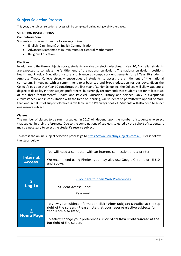#### <span id="page-5-0"></span>**Subject Selection Process**

This year, the subject selection process will be completed online using web Preferences.

#### **SELECTION INSTRUCTIONS**

#### **Compulsory Core**

Students must select from the following choices:

- English (C minimum) or English Communication
- Advanced Mathematics (B- minimum) or General Mathematics
- Religious Education

#### **Electives**

In addition to the three subjects above, students are able to select 4 electives. In Year 10, Australian students are expected to complete the 'entitlement' of the national curriculum. The national curriculum positions Health and Physical Education, History and Science as compulsory entitlements for all Year 10 students. Ambrose Treacy College strongly encourages all students to access the entitlement of the national curriculum, in keeping with a commitment to a balanced and broad education for our boys. Given the College's position that Year 10 constitutes the first year of Senior Schooling, the College will allow students a degree of flexibility in their subject preferences, but strongly recommends that students opt for at least two of the three 'entitlements' (Health and Physical Education, History and Science. Only in exceptional circumstances, and in consultation with the Dean of Learning, will students be permitted to opt out of more than one. A full list of subject electives is available in the Pathways booklet. Students will also need to select one reserve subject.

#### **Classes**

The number of classes to be run in a subject in 2017 will depend upon the number of students who select that subject in their preferences. Due to the combinations of subjects selected by the cohort of students, it may be necessary to select the student's reserve subject.

To access the online subject selection process go to [https://www.selectmysubjects.com.au.](https://www.selectmysubjects.com.au/) Please follow the steps below.

|                                  | You will need a computer with an internet connection and a printer.                                                                                                                                                                                                                   |  |  |
|----------------------------------|---------------------------------------------------------------------------------------------------------------------------------------------------------------------------------------------------------------------------------------------------------------------------------------|--|--|
| <b>Internet</b><br><b>Access</b> | We recommend using Firefox, you may also use Google Chrome or IE 6.0<br>and above.                                                                                                                                                                                                    |  |  |
| Log In                           | Click here to open Web Preferences<br>Student Access Code:<br>Password:                                                                                                                                                                                                               |  |  |
| <u>3</u><br><b>Home Page</b>     | To view your subject information click "View Subject Details" at the top<br>right of the screen. (Please note that your reserve elective subjects for<br>Year 9 are also listed)<br>To select/change your preferences, click "Add New Preferences" at the<br>top right of the screen. |  |  |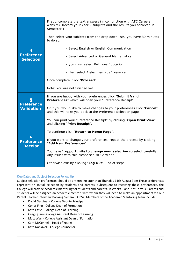| <u>4</u><br><b>Preference</b><br><b>Selection</b> | Firstly, complete the text answers (in conjunction with ATC Careers<br>website). Record your Year 9 subjects and the results you achieved in<br>Semester 1. |  |  |
|---------------------------------------------------|-------------------------------------------------------------------------------------------------------------------------------------------------------------|--|--|
|                                                   | Then select your subjects from the drop down lists, you have 30 minutes<br>to do so.                                                                        |  |  |
|                                                   | - Select English or English Communication                                                                                                                   |  |  |
|                                                   | - Select Advanced or General Mathematics                                                                                                                    |  |  |
|                                                   | - you must select Religious Education                                                                                                                       |  |  |
|                                                   | - then select 4 electives plus 1 reserve                                                                                                                    |  |  |
|                                                   | Once complete, click "Proceed".                                                                                                                             |  |  |
|                                                   | Note: You are not finished yet.                                                                                                                             |  |  |
| 5<br><b>Preference</b><br><b>Validation</b>       | If you are happy with your preferences click "Submit Valid<br>Preferences" which will open your "Preference Receipt".                                       |  |  |
|                                                   | Or if you would like to make changes to your preferences click "Cancel"<br>and this will take you back to the Preference Selection page.                    |  |  |
| <u>6</u><br><b>Preference</b><br><b>Receipt</b>   | You can print your "Preference Receipt" by clicking "Open Print View"<br>and clicking "Print Receipt".                                                      |  |  |
|                                                   | To continue click "Return to Home Page".                                                                                                                    |  |  |
|                                                   | If you want to change your preferences, repeat the process by clicking<br>"Add New Preferences".                                                            |  |  |
|                                                   | You have 1 opportunity to change your selection so select carefully.<br>Any issues with this please see Mr Gardiner.                                        |  |  |
|                                                   | Otherwise exit by clicking "Log Out". End of steps.                                                                                                         |  |  |

#### <span id="page-6-0"></span>Due Dates and Subject Selection Follow Up

Subject selection preferences should be entered no later than Thursday 11th August 3pm These preferences represent an 'initial' selection by students and parents. Subsequent to receiving these preferences, the College will provide academic mentoring for students and parents, in Weeks 6 and 7 of Term 3. Parents and students will be assigned an academic mentor; with whom they will need to make an appointment via our Parent Teacher Interview Booking System (SOBS). Members of the Academic Mentoring team include:

- David Gardiner College Deputy Principal
- Conor Finn College Dean of Formation
- Kath Little College Dean of Learning
- Greg Quinn College Assistant Dean of Learning
- Matt Warr College Assistant Dean of Formation
- Cam McConnell Head of Year 9
- Kate Nankivell College Counsellor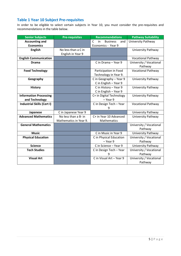## <span id="page-7-0"></span>**Table 1 Year 10 Subject Pre-requisites**

In order to be eligible to select certain subjects in Year 10, you must consider the pre-requisites and recommendations in the table below.

| <b>Senior Subjects</b>            | <b>Pre-requisites</b>  | <b>Recommendations</b>                               | <b>Pathway Suitability</b> |
|-----------------------------------|------------------------|------------------------------------------------------|----------------------------|
| <b>Accounting and</b>             |                        | $\mathsf{C}$<br><b>Business</b><br>in<br>and         | University Pathway         |
| <b>Economics</b>                  |                        | Economics - Year 9                                   |                            |
| <b>English</b>                    | No less than a C in    |                                                      | University Pathway         |
|                                   | English in Year 9      |                                                      |                            |
| <b>English Communication</b>      |                        |                                                      | <b>Vocational Pathway</b>  |
| <b>Drama</b>                      |                        | C in Drama - Year 9                                  | University / Vocational    |
|                                   |                        |                                                      | Pathway                    |
| <b>Food Technology</b>            |                        | Participation in Food                                | <b>Vocational Pathway</b>  |
|                                   |                        | Technology in Year 9.                                |                            |
| Geography                         |                        | C in Geography - Year 9                              | University Pathway         |
|                                   |                        | C in English - Year 9                                |                            |
| <b>History</b>                    |                        | C in History - Year 9                                | University Pathway         |
|                                   |                        | C in English - Year 9                                |                            |
| <b>Information Processing</b>     |                        | C+ in Digital Technology                             | University Pathway         |
| and Technology                    |                        | $-$ Year 9                                           |                            |
| <b>Industrial Skills (Cert I)</b> |                        | C in Design Tech - Year<br><b>Vocational Pathway</b> |                            |
|                                   |                        | 9                                                    |                            |
| Japanese                          | C in Japanese Year 9   |                                                      | University Pathway         |
| <b>Advanced Mathematics</b>       | No less than a B- in   | C+ in Year 10 Advanced                               | University Pathway         |
|                                   | Mathematics in Year 9. | Mathematics                                          |                            |
| <b>General Mathematics</b>        |                        |                                                      | University / Vocational    |
|                                   |                        |                                                      | Pathway                    |
| <b>Music</b>                      |                        | C in Music in Year 9                                 | University Pathway         |
| <b>Physical Education</b>         |                        | C in Physical Education                              | University / Vocational    |
|                                   |                        | $-$ Year 9                                           | Pathway                    |
| <b>Science</b>                    |                        | C in Science - Year 9                                | University Pathway         |
| <b>Tech Studies</b>               |                        | University / Vocational<br>C in Design Tech - Year   |                            |
|                                   |                        |                                                      | Pathway                    |
| <b>Visual Art</b>                 |                        | C in Visual Art - Year 9                             | University / Vocational    |
|                                   |                        |                                                      | Pathway                    |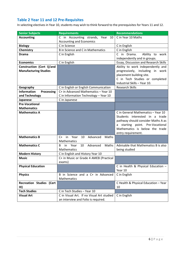## <span id="page-8-0"></span>**Table 2 Year 11 and 12 Pre-Requisites**

In selecting electives in Year 10, students may wish to think forward to the prerequisites for Years 11 and 12.

| <b>Senior Subjects</b>           | <b>Requirements</b>                             | <b>Recommendations</b>                |
|----------------------------------|-------------------------------------------------|---------------------------------------|
| <b>Accounting</b>                | C in Accounting strands, Year<br>10             | C in Year 10 Maths                    |
|                                  | <b>Accounting and Economics</b>                 |                                       |
| <b>Biology</b>                   | C in Science                                    | C in English                          |
| Chemistry                        | <b>B</b> in Science and C in Mathematics        | C in English                          |
| <b>Drama</b>                     | C in English                                    | C in Drama.<br>Ability to work        |
|                                  |                                                 | independently and in groups.          |
| <b>Economics</b>                 | C in English                                    | Essay, Discussion and Research Skills |
| Construction (Cert I)/and        |                                                 | Ability to work independently and     |
| <b>Manufacturing Studies</b>     |                                                 | progressively, including in work      |
|                                  |                                                 | placement building site.              |
|                                  |                                                 | C in Tech Studies or completed        |
|                                  |                                                 | Industrial Skills - Year 10.          |
| Geography                        | C in English or English Communication           | <b>Research Skills</b>                |
| <b>Information</b><br>Processing | C+ in Advanced Mathematics - Year 10            |                                       |
| and Technology                   | C in Information Technology - Year 10           |                                       |
| Japanese                         | C in Japanese                                   |                                       |
| <b>Pre-Vocational</b>            |                                                 |                                       |
| <b>Mathematics</b>               |                                                 |                                       |
| <b>Mathematics A</b>             |                                                 | C in General Mathematics - Year 10    |
|                                  |                                                 | Students interested in a trade        |
|                                  |                                                 | pathway should consider Maths A as    |
|                                  |                                                 | starting point. Pre-Vocational<br>a   |
|                                  |                                                 | Mathematics is below the trade        |
| <b>Mathematics B</b>             | Maths<br>$C+$                                   | entry requirement.                    |
|                                  | in Year<br>10<br>Advanced<br><b>Mathematics</b> |                                       |
| <b>Mathematics C</b>             | in<br>10<br>Advanced<br>Maths<br>Year<br>B      | Advisable that Mathematics B is also  |
|                                  | <b>Mathematics</b>                              | being studied                         |
| <b>Modern History</b>            | C in English and History Year 10                |                                       |
| <b>Music</b>                     | C+ in Music or Grade 4 AMEB (Practical          |                                       |
|                                  | exams)                                          |                                       |
| <b>Physical Education</b>        |                                                 | C in Health & Physical Education -    |
|                                  |                                                 | Year 10                               |
| <b>Physics</b>                   | B in Science and a C+ in Advanced               | C in English                          |
|                                  | Mathematics                                     |                                       |
| <b>Recreation Studies (Cert</b>  |                                                 | C Health & Physical Education - Year  |
| III)                             |                                                 | 10                                    |
| <b>Tech Studies</b>              | C in Tech Studies - Year 10                     |                                       |
| <b>Visual Art</b>                | C in Visual Art. If no Visual Art studied       | C in English                          |
|                                  | an interview and Folio is required.             |                                       |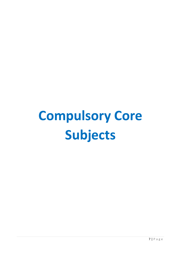## <span id="page-9-0"></span>**Compulsory Core Subjects**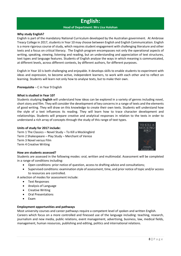## **English:**

#### **Head of Department: Mrs Lisa Holohan**

#### <span id="page-10-0"></span>**Why study English?**

English is part of the mandatory National Curriculum developed by the Australian government. At Ambrose Treacy College in 2017, students in Year 10 may choose between English and English Communication. English is a more rigorous course of study, which requires student engagement with challenging literature and other texts and a focus on critical literacy. The English program encompasses not only the operational aspects of writing, speaking, viewing, listening and reading, but an understanding and appreciation of text structures, text types and language features. Students of English analyse the ways in which meaning is communicated, at different levels, across different contexts, by different authors, for different purposes.

English in Year 10 is both challenging and enjoyable. It develops skills to enable students to experiment with ideas and expression, to become active, independent learners, to work with each other and to reflect on learning. Students will learn not only how to analyse texts, but to make their own.

**Prerequisite** – C in Year 9 English

#### **What is studied in Year 10?**

Students studying **English** will understand how ideas can be explored in a variety of genres including novel, short story and film. They will consider the development of key concerns in a range of texts and the elements of good writing. They will draw on this knowledge to create their own texts. Students will understand how the style of a text influences its reading. They will learn how to trace character development and relationships. Students will prepare creative and analytical responses in relation to the texts in order to understand a rich array of concepts through the study of this range of text types.

#### **Units of study for 2017 include:**

Term 1 The Classics – Novel Study – To Kill a Mockingbird Term 2 Shakespeare – Play Study – Merchant of Venice Term 3 Novel versus Film Term 4 Creative Writing

#### **How are students assessed?**

Students are assessed in the following modes: oral, written and multimodal. Assessment will be completed in a range of conditions including:

- Open conditions: prior notice of question, access to drafting advice and consultations;
- Supervised conditions: examination style of assessment, time, and prior notice of topic and/or access to resources are controlled.

A selection of modes for assessment include:

- Text Responses
- Analysis of Language
- Creative Writing
- Oral Presentations
- Exam

#### **Employment opportunities and pathways**

Most university courses and career pathways require a competent level of spoken and written English. Careers which focus on a more controlled and finessed use of the language including: teaching, research, journalism and new media, public relations, event management, advertising, business, law, medical fields, management, human resources, publishing and editing, politics and international relations.

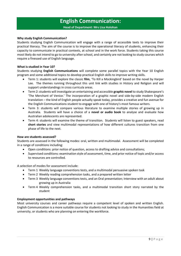## **English Communication:**

**Head of Department: Mrs Lisa Holohan**

#### <span id="page-11-0"></span>**Why study English Communication?**

Students studying English Communication will engage with a range of accessible texts to improve their practical literacy. The aim of the course is to improve the operational literacy of students, enhancing their capacity to communicate in practical contexts, at school and in the work force. Students taking this course most likely do not intend to go to university after school, and certainly are not looking to study courses which require a finessed use of English language.

#### **What is studied in Year 10?**

Students studying **English Communications** will complete some parallel topics with the Year 10 English program and some additional topics to develop practical English skills to improve writing skills.

- Term 1: students will explore the classic **film**, 'To Kill a Mockingbird' based on the novel by Harper Lee. The themes running throughout this unit link with studies in History and Religion and will support understandings in cross curricula areas.
- Term 2:students will investigate an entertaining and accessible **graphic novel** to study Shakespeare's 'The Merchant of Venice.' The incorporation of a graphic novel and side-by-side modern English translation – the kind of English people actually speak today, provides a creative and fun avenue for the English Communications student to engage with one of history's most famous writers.
- Term 3: students will compare various literature to examine multiple stories of growing up in Australia. Students will have a choice of a **novel or audio book** to analyse and evaluate how Australian adolescents are represented.
- Term 4: students will examine the theme of transition. Students will listen to guest speakers, read **short stories** and view multimodal representations of how different cultures transition from one phase of life to the next.

#### **How are students assessed?**

Students are assessed in the following modes: oral, written and multimodal. Assessment will be completed in a range of conditions including:

- Open conditions: prior notice of question, access to drafting advice and consultations;
- Supervised conditions: examination style of assessment, time, and prior notice of topic and/or access to resources are controlled.

A selection of modes for assessment include:

- Term 1 Weekly language conventions tests, and a multimodal persuasive spoken task
- Term 2 Weekly reading comprehension tasks, and a prepared written letter
- Term 3 Weekly language conventions tests, and an Oral presentation; Interview with an adult about growing up in Australia
- Term 4 Weekly comprehension tasks, and a multimodal transition short story narrated by the student

#### **Employment opportunities and pathways**

Most university courses and career pathways require a competent level of spoken and written English. English Communication is a more suitable course for students not looking to study in the Humanities field at university, or students who are planning on entering the workforce.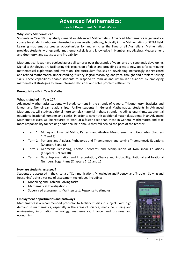## **Advanced Mathematics:**

**Head of Department: Mr Mark Watson**

#### <span id="page-12-0"></span>**Why study Mathematics?**

Students in Year 10 may study General or Advanced Mathematics. Advanced Mathematics is generally a course for students who are interested in a university pathway, typically in the Mathematics or STEM field. Learning mathematics creates opportunities for and enriches the lives of all Australians. Mathematics provides students with essential mathematical skills and knowledge in Number and Algebra, Measurement and Geometry, and Statistics and Probability.

Mathematical ideas have evolved across all cultures over thousands of years, and are constantly developing. Digital technologies are facilitating this expansion of ideas and providing access to new tools for continuing mathematical exploration and invention. The curriculum focuses on developing increasingly sophisticated and refined mathematical understanding, fluency, logical reasoning, analytical thought and problem-solving skills. These capabilities enable students to respond to familiar and unfamiliar situations by employing mathematical strategies to make informed decisions and solve problems efficiently.

#### **Prerequisite** – B- in Year 9 Maths

#### **What is studied in Year 10?**

Advanced Mathematics students will study content in the strands of Algebra, Trigonometry, Statistics and Linear and Non-Linear relationships. Unlike students in General Mathematics, students in Advanced Mathematics will study additional more complex material in these strands including: logarithms, exponential equations, irrational numbers and conics. In order to cover this additional material, students in an Advanced Mathematics class will be required to work at a faster pace than those in General Mathematics and take more responsibility for seeking additional help should they fall behind the pace of the teacher.

- Term 1: Money and Financial Maths, Patterns and Algebra, Measurement and Geometry (Chapters 1, 2 and 3)
- Term 2: Patterns and Algebra, Pythagoras and Trigonometry and solving Trigonometric Equations (Chapters 5 and 6)
- Term 3: Geometric Reasoning, Factor Theorems and Manipulation of Non-Linear Equations (Chapters 8, 9 and 10)
- Term 4: Data Representation and Interpretation, Chance and Probability, Rational and Irrational Numbers, Logarithms (Chapters 7, 11 and 12)

#### **How are students assessed?**

Students are assessed in the criteria of 'Communication', 'Knowledge and Fluency' and 'Problem Solving and Reasoning' using a variety of assessment techniques including:

- Modelling and Problem Solving tasks
- Mathematical Investigations
- Supervised assessments Written test, Response to stimulus

#### **Employment opportunities and pathways**

Mathematics is a recommended precursor to tertiary studies in subjects with high demand in mathematics, especially in the areas of science, medicine, mining and engineering, information technology, mathematics, finance, and business and economics.

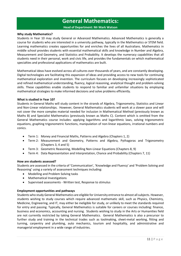## **General Mathematics:**

**Head of Department: Mr Mark Watson**

#### <span id="page-13-0"></span>**Why study Mathematics?**

Students in Year 10 may study General or Advanced Mathematics. Advanced Mathematics is generally a course for students who are interested in a university pathway, typically in the Mathematics or STEM field. Learning mathematics creates opportunities for and enriches the lives of all Australians. Mathematics in middle school provides students with essential mathematical skills and knowledge in Number and Algebra, Measurement and Geometry, and Statistics and Probability. It develops the numeracy capabilities that all students need in their personal, work and civic life, and provides the fundamentals on which mathematical specialties and professional applications of mathematics are built.

Mathematical ideas have evolved across all cultures over thousands of years, and are constantly developing. Digital technologies are facilitating this expansion of ideas and providing access to new tools for continuing mathematical exploration and invention. The curriculum focuses on developing increasingly sophisticated and refined mathematical understanding, fluency, logical reasoning, analytical thought and problem-solving skills. These capabilities enable students to respond to familiar and unfamiliar situations by employing mathematical strategies to make informed decisions and solve problems efficiently.

#### **What is studied in Year 10?**

Students in General Maths will study content in the strands of Algebra, Trigonometry, Statistics and Linear and Non-Linear relationships. However, General Mathematics students will work at a slower pace and will not cover the more complex material needed for inclusion in Mathematical Method (previously known as Maths B) and Specialist Mathematics (previously known as Maths C). Content which is omitted from the General Mathematics course includes: applying logarithms and logarithmic laws, solving trigonometric equations, graphing trigonometric functions, manipulation of non-linear equations, irrational numbers and conics.

- Term 1: Money and Financial Maths, Patterns and Algebra (Chapters 1, 2)
- Term 2: Measurement and Geometry, Patterns and Algebra, Pythagoras and Trigonometry (Chapters 3, 4 and 5)
- Term 3: Geometric Reasoning, Modelling Non-Linear Equations (Chapters 8, 9)
- Term 4: Data Representation and Interpretation, Chance and Probability (Chapters 7, 11)

#### **How are students assessed?**

Students are assessed in the criteria of 'Communication', 'Knowledge and Fluency' and 'Problem Solving and Reasoning' using a variety of assessment techniques including:

- Modelling and Problem Solving tasks
- Mathematical Investigations
- Supervised assessments Written test, Response to stimulus

#### **Employment opportunities and pathways**

Students who study General Mathematics are eligible for University entrance to almost all subjects. However, students wishing to study courses which require advanced mathematic skill, such as Physics, Chemistry, Medicine, Engineering, and IT, may either be ineligible for study, or unlikely to meet the standards required for entry and passing. Typically, General Mathematics is suitable for careers or courses including: finance, business and economics, accounting and nursing. Students wishing to study in the Arts or Humanities field are not currently restricted by taking General Mathematics. General Mathematics is also a precursor to further study and training in the technical trades such as toolmaking, sheet-metal working, fitting and turning, carpentry and plumbing, auto mechanics, tourism and hospitality, and administrative and managerial employment in a wide range of industries.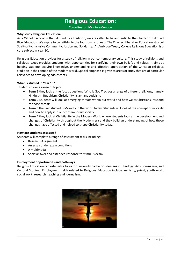## **Religious Education:**

**Co-ordinator: Mrs Sara Condon**

#### <span id="page-14-0"></span>**Why study Religious Education?**

As a Catholic school in the Edmund Rice tradition, we are called to be authentic to the Charter of Edmund Rice Education. We aspire to be faithful to the four touchstones of The Charter: Liberating Education; Gospel Spirituality; Inclusive Community; Justice and Solidarity. At Ambrose Treacy College Religious Education is a core subject in Year 10.

Religious Education provides for a study of religion in our contemporary culture. This study of religions and religious issues provides students with opportunities for clarifying their own beliefs and values. It aims at helping students acquire knowledge, understanding and affective appreciation of the Christian religious tradition in the context of the modern world. Special emphasis is given to areas of study that are of particular relevance to developing adolescents.

#### **What is studied in Year 10?**

Students cover a range of topics.

- Term 1 they look at the focus questions 'Who is God?' across a range of different religions, namely Hinduism, Buddhism, Christianity, Islam and Judaism.
- Term 2 students will look at emerging threats within our world and how we as Christians, respond to those threats.
- Term 3 the unit studied is Morality in the world today. Students will look at the concept of morality and how to apply it in our contemporary society.
- Term 4 they look at Christianity in the Modern World where students look at the development and changes of Christianity throughout the Modern era and they build an understanding of how those changes have affected and helped to shape Christianity today.

#### **How are students assessed?**

Students will complete a range of assessment tasks including:

- Research Assignment
- An essay under exam conditions
- A multimodal
- Short answer and extended response to stimulus exam

#### **Employment opportunities and pathways**

Religious Education can establish a basis for university Bachelor's degrees in Theology, Arts, Journalism, and Cultural Studies. Employment fields related to Religious Education include: ministry, priest, youth work, social work, research, teaching and journalism.

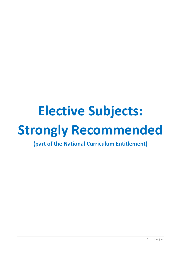## <span id="page-15-0"></span>**Elective Subjects: Strongly Recommended**

**(part of the National Curriculum Entitlement)**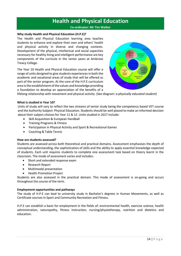## **Health and Physical Education**

#### **Co-ordinator: Mr Tim Walker**

#### <span id="page-16-0"></span>**Why study Health and Physical Education (H.P.E)?**

The Health and Physical Education learning area teaches students to enhance and explore their own and others' health and physical activity in diverse and changing contexts. Development of the physical, intellectual and social capacities necessary for healthy living and intelligent performance are key components of the curricula in the senior years at Ambrose Treacy College.

The Year 10 Health and Physical Education course will offer a range of units designed to give students experiences in both the academic and vocational areas of study that will be offered as part of the senior program. At the core of the H.P.E curriculum area is the establishment of the values and knowledge providing a foundation to develop an appreciation of the benefits of a



lifelong relationship with movement and physical activity. (See diagram: *a physically educated student)*

#### **What is studied in Year 10?**

Units of study will vary to reflect the two streams of senior study being the competency based VET course and the Authority Subject: Physical Education. Students should be well placed to make an informed decision about their subject choices for Year 11 & 12. Units studied in 2017 include:

- Skill Acquisition & European Handball
- Training Programs & Fitness
- Participation in Physical Activity and Sport & Recreational Games
- Coaching & Table Tennis

#### **How are students assessed?**

Students are assessed across both theoretical and practical domains. Assessment emphasises the depth of conceptual understanding, the sophistication of skills and the ability to apply essential knowledge expected of students. Each unit requires students to complete one assessment task based on theory learnt in the classroom. The mode of assessment varies and includes:

- Short and extended response exam
- Research Report
- Multimodal presentation
- Health Promotion Project

Students are also assessed in the practical domain. This mode of assessment is on-going and occurs throughout the course of the term.

#### **Employment opportunities and pathways**

The study of H.P.E can lead to university study in Bachelor's degrees in Human Movements, as well as Certificate courses in Sport and Community Recreation and Fitness.

H.P.E can establish a basis for employment in the fields of: environmental health, exercise science, health administration, naturopathy, fitness instruction, nursing/physiotherapy, nutrition and dietetics and education.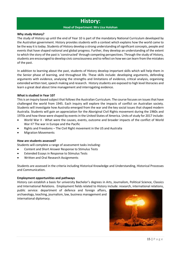## **History:**

#### **Head of Department: Mrs Lisa Holohan**

#### <span id="page-17-0"></span>**Why study History?**

The study of History up until the end of Year 10 is part of the mandatory National Curriculum developed by the Australian government. History provides students with a context which explains how the world came to be the way it is today. Students of History develop a strong understanding of significant concepts, people and events that have shaped national and global progress. Further, they develop an understanding of the extent to which the story of the past is 'constructed' through competing perspectives. Through the study of History, students are encouraged to develop civic consciousness and to reflect on how we can learn from the mistakes of the past.

In addition to learning about the past, students of History develop important skills which will help them in the Senior phase of learning, and throughout life. These skills include: developing arguments, defending arguments with evidence, analysing the strengths and limitations of evidence, critical analysis, organising extended written text, speech making and research. History students are exposed to high level literacies and learn a great deal about time management and interrogating evidence.

#### **What is studied in Year 10?**

This is an inquiry based subject that follows the Australian Curriculum. The course focuses on issues that have challenged the world from 1945. Each inquiry will explore the impacts of conflict on Australian society. Students will investigate how Australia emerged from the war and the key social issues that shaped modern Australia. Students will gain an appreciation for the Aboriginal Civil Rights movement during the 1960s and 1970s and how these were shaped by events in the United States of America. Units of study for 2017 include:

- World War II What were the causes, events, outcome and broader impacts of the conflict of World War II? The war in Europe and the Pacific
- Rights and Freedoms The Civil Right movement in the US and Australia
- Migration Movements

#### **How are students assessed?**

Students will complete a range of assessment tasks including:

- Content and Short Answer Response to Stimulus Tests
- Extended Essays in Response to Stimulus Tests
- Written and Oral Research Assignments

Students are assessed in the criteria including Historical Knowledge and Understanding, Historical Processes and Communication.

#### **Employment opportunities and pathways**

History can establish a basis for university Bachelor's degrees in Arts, Journalism, Political Science, Classics and International Relations. Employment fields related to History include: research, international relations,

public service: department of defence and foreign affairs, archaeology, teaching, journalism, law, business management and international diplomacy.

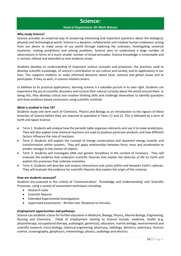## **Science:**

#### **Head of Department: Mr Mark Watson**

#### <span id="page-18-0"></span>**Why study Science?**

Science provides an empirical way of answering interesting and important questions about the biological, physical and technological world. Science is a dynamic, collaborative and creative human endeavour arising from our desire to make sense of our world through exploring the unknown, investigating universal mysteries, making predictions and solving problems. Science aims to understand a large number of observations in terms of a much smaller number of broad principles. Science knowledge is contestable and is revised, refined and extended as new evidence arises.

Students develop an understanding of important science concepts and processes, the practices used to develop scientific knowledge, of science's contribution to our culture and society, and its applications in our lives. This supports students to make informed decisions about local, national and global issues and to participate, if they so wish, in science-related careers.

In addition to its practical applications, learning science is a valuable pursuit in its own right. Students can experience the joy of scientific discovery and nurture their natural curiosity about the world around them. In doing this, they develop critical and creative thinking skills and challenge themselves to identify questions and draw evidence-based conclusions using scientific methods.

#### **What is studied in Year 10?**

Students study one term each of Chemistry, Physics and Biology as an introduction to the rigours of these branches of Science before they are required to specialise in Years 11 and 12. This is followed by a term of Earth and Space Science.

- Term 1: Students will analyse how the periodic table organises elements and use it to make predictions. They will also explain how chemical reactions are used to produce particular products and how different factors influence the rate of reactions.
- Term 2: Students will explain the concept of energy conservation and represent energy transfer and transformation within systems. They will apply relationships between force, mass and acceleration to predict changes in the motion of objects.
- Term 3: Students will investigate DNA and genetic hereditary in the context of Forensics. They will evaluate the evidence that underpins scientific theories that explain the diversity of life on Earth and explain the processes that underpin evolution.
- Term 4: Students will describe and analyse interactions and cycles within and between Earth's spheres. They will evaluate the evidence for scientific theories that explain the origin of the universe.

#### **How are students assessed?**

Students are assessed in the criteria of 'Communication', 'Knowledge and Understanding' and 'Scientific Processes, using a variety of assessment techniques including:

- Research tasks
- Scientific Reports
- Extended Experimental Investigations
- Supervised assessments Written test, Response to stimulus

#### **Employment opportunities and pathways**

Science can establish a basis for further education in Medicine, Biology, Physics, Marine Biology, Engineering, Nursing and Chemistry. Fields of employment relating to Science include: medicine, health (e.g. physiotherapy, occupational therapy, audiologist, geneticist), education, marine biology, environmental and scientific research, micro-biology, chemical engineering, pharmacy, radiology, dentistry, veterinary, forensic science, oceanography, geophysics, meteorology, physics, audiology and electrics.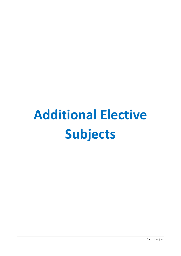# <span id="page-19-0"></span>**Additional Elective Subjects**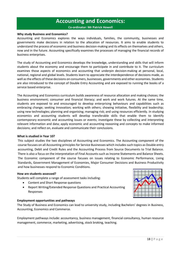## **Accounting and Economics:**

**Co-ordinator: Mr Patrick Howell**

#### <span id="page-20-0"></span>**Why study Business and Economics?**

Accounting and Economics explores the ways individuals, families, the community, businesses and governments make decisions in relation to the allocation of resources. It aims to enable students to understand the process of economic and business decision-making and its effects on themselves and others, now and in the future. Accounting specifically examines the processes of managing the financial records of business enterprises.

The study of Accounting and Economics develops the knowledge, understanding and skills that will inform students about the economy and encourage them to participate in and contribute to it. The curriculum examines those aspects of economics and accounting that underpin decision-making at personal, local, national, regional and global levels. Students learn to appreciate the interdependence of decisions made, as well as the effects of these decisions on consumers, businesses, governments and other economies. Students are also introduced to the concept of Double Entry Accounting and are exposed to running the books of a service based enterprise.

The Accounting and Economics curriculum builds awareness of resource allocation and making choices; the business environment; consumer and financial literacy; and work and work futures. At the same time, students are exposed to and encouraged to develop enterprising behaviours and capabilities such as embracing change; seeking innovation; working with others; showing initiative, flexibility and leadership; using new technologies; planning and organising; managing risk; and using resources efficiently. In studying economics and accounting students will develop transferable skills that enable them to identify contemporary economic and accounting issues or events; investigate these by collecting and interpreting relevant information and data; apply economic and accounting reasoning and concepts to make informed decisions; and reflect on, evaluate and communicate their conclusions.

#### **What is studied in Year 10?**

This subject studies the two disciplines of Accounting and Economics. The Accounting component of the course focuses on all Accounting principles for Service Businesses which includes such topics as Double entry accounting, Debit and Credit Rules and the Accounting Process from Source Documents to Trial Balance. There is also a focus on the interpretation of Final Accounts such as Income Statements and Balance Sheets. The Economic component of the course focuses on issues relating to Economic Performance, Living Standards, Government Management of Economies, Major Consumer Decisions and Business Productivity and how businesses respond to Economic Conditions.

#### **How are students assessed?**

Students will complete a range of assessment tasks including:

- Content and Short Response questions
- Report Writing/Extended Response Questions and Practical Accounting Responses

#### **Employment opportunities and pathways**

The Study of Business and Economics can lead to university study, including Bachelors' degrees in Business, Accounting, Economics and Commerce.

Employment pathways include: accountancy, business management, financial consultancy, human resource management, commerce, marketing, advertising, stock broking, teaching.

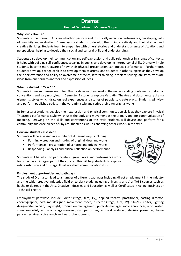### **Drama:**

#### **Head of Department: Mr Jason Goopy**

#### <span id="page-21-0"></span>**Why study Drama?**

Students of the Dramatic Arts learn both to perform and to critically reflect on performance, developing skills of creativity and evaluation. Drama assists students to develop their mind creatively and their abstract and creative thinking. Students learn to empathise with others' stories and understand a range of situations and perspectives, helping to develop their social and cultural skills and understandings.

Students also develop their communication and self-expression and build relationships in a range of contexts. It helps with building self-confidence, speaking in public, and developing interpersonal skills. Drama will help students become more aware of how their physical presentation can impact performance. Furthermore, students develop a range of skills to develop them as artists, and students in other subjects as they develop their perseverance and ability to overcome obstacles, lateral thinking, problem-solving, ability to translate ideas from one form to another and expression of ideas.

#### **What is studied in Year 10?**

Students immerse themselves in two Drama styles as they develop the understanding of elements of drama, conventions and varying styles. In Semester 1 students explore Verbatim Theatre and documentary drama elements, styles which draw on real experiences and stories of people to create plays. Students will view and perform published scripts in the verbatim style and script their own original works.

In Semester 2 students develop their expression and physical communication skills as they explore Physical Theatre; a performance style which uses the body and movement as the primary tool for communication of meaning. Drawing on the skills and conventions of this style students will devise and perform for a community audience pieces of Physical theatre as well as analysing others works in the style.

#### **How are students assessed?**

Students will be assessed in a number of different ways, including:

- Forming creation and making of original ideas and works
- Performance presentation of scripted and original works
- Responding analysis and critical reflection on performance

Students will be asked to participate in group work and performance work for others as an integral part of the course. This will help students to explore relationships on and off stage. It will also help communication skills.

#### **Employment opportunities and pathways**



The study of Drama can lead to a number of different pathways including direct employment in the industry and the wider creative industries field or tertiary study including university and / or TAFE courses such as bachelor degrees in the Arts, Creative Industries and Education as well as Certificates in Acting, Business or Technical Theatre.

Employment pathways include: Actor (stage, film, TV), applied theatre practitioner, casting director, choreographer, costume designer, movement coach, director (stage, film, TV), film/TV editor, lighting designer/technician, playwright, production management, publicity manager, radio announcer, scriptwriter, sound recordist/technician, stage manager, stunt performer, technical producer, television presenter, theme park entertainer, voice coach and wardrobe supervisor.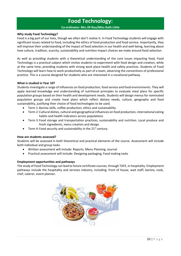## **Food Technology:**

#### **Co-ordinator: Mrs Jill Rau/Miss Kath Little**

#### <span id="page-22-0"></span>**Why study Food Technology?**

Food is a big part of our lives, though we often don't realise it. In Food Technology students will engage with significant issues related to food, including the ethics of food production and food service. Importantly, they will improve their understanding of the impact of food selection in our health and well-being, learning about how culture, tradition, scarcity, sustainability and nutrition impact choices we make around food selection.

As well as providing students with a theoretical understanding of the core issues impacting food, Food Technology is a practical subject which invites students to experiment with food design and creation, while at the same time, providing students with strong work place health and safety practices. Students of Food Technology will learn how to work productively as part of a team, observing the conventions of professional practice. This is a course designed for students who are interested in a vocational pathway.

#### **What is studied in Year 10?**

Students investigate a range of influences on food production, food service and food environments. They will apply learned knowledge and understanding of nutritional principles to evaluate meal plans for specific population groups based on their health and development needs. Students will design menus for nominated population groups and create meal plans which reflect dietary needs, culture, geography and food sustainability, justifying their choice of food technologies to be used.

- Term 1:Barista skills, coffee production, ethics and sustainability
- Term 2: Cultural dishes, cultural and geographical influences on food production, international eating habits and health indicators across populations
- Term 3: Food storage and transportation practices, sustainability and nutrition. Local produce and fresh ingredients, menu creation and design.
- Term 4: Food security and sustainability in the  $21<sup>st</sup>$  century.

#### **How are students assessed?**

Students will be assessed in both theoretical and practical elements of the course. Assessment will include both individual and group tasks.

- Written assessment will include: Reports, Menu Planning, Journal
- Practical assessment will include: Designing packaging, Food making tasks

#### **Employment opportunities and pathways**

The study of Food Technology can lead to future certificate courses, through TAFE, in hospitality. Employment pathways include the hospitality and services industry, including: front of house, wait staff, barista, cook, chef, caterer, event planner.

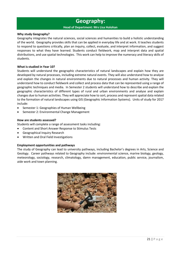## **Geography:**

#### **Head of Department: Mrs Lisa Holohan**

#### <span id="page-23-0"></span>**Why study Geography?**

Geography integrates the natural sciences, social sciences and humanities to build a holistic understanding of the world. Geography provides skills that can be applied in everyday life and at work. It teaches students to respond to questions critically, plan an inquiry, collect, evaluate, and interpret information, and suggest responses to what they have learned. Students conduct fieldwork, map and interpret data and spatial distributions, and use spatial technologies. This work can help to improve the numeracy and literacy skills of students.

#### **What is studied in Year 10?**

Students will understand the geographic characteristics of natural landscapes and explain how they are developed by natural processes, including extreme natural events. They will also understand how to analyse and explain the changes in natural environments due to natural processes and human activity. They will understand how to conduct fieldwork and collect and process data that can be represented using a range of geographic techniques and media. In Semester 2 students will understand how to describe and explain the geographic characteristics of different types of rural and urban environments and analyse and explain changes due to human activities. They will appreciate how to sort, process and represent spatial data related to the formation of natural landscapes using GIS (Geographic Information Systems). Units of study for 2017 include:

- Semester 1: Geographies of Human Wellbeing
- Semester 2: Environmental Change Management

#### **How are students assessed?**

Students will complete a range of assessment tasks including:

- Content and Short Answer Response to Stimulus Tests
- Geographical Inquiry Research
- Written and Oral Field Investigations

#### **Employment opportunities and pathways**

The study of Geography can lead to university pathways, including Bachelor's degrees in Arts, Science and Geology. Career pathways related to Geography include: environmental science, marine biology, geology, meteorology, sociology, research, climatology, damn management, education, public service, journalism, aide work and town planning.

![](_page_23_Picture_15.jpeg)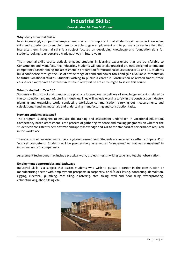## **Industrial Skills:**

#### **Co-ordinator: Mr Cam McConnell**

#### <span id="page-24-0"></span>**Why study Industrial Skills?**

In an increasingly competitive employment market it is important that students gain valuable knowledge, skills and experiences to enable them to be able to gain employment and to pursue a career in a field that interests them. Industrial skills is a subject focused on developing knowledge and foundation skills for students looking to undertake a trade pathway in future years.

The Industrial Skills course actively engages students in learning experiences that are transferable to Construction and Manufacturing Industries. Students will undertake practical projects designed to emulate competency based training and assessment in preparation for Vocational courses in year 11 and 12. Students build confidence through the use of a wide range of hand and power tools and gain a valuable introduction to future vocational studies. Students wishing to pursue a career in Construction or related trades, trade courses or simply have an interest in this field of expertise are encouraged to select this course.

#### **What is studied in Year 10?**

Students will construct and manufacture products focused on the delivery of knowledge and skills related to the construction and manufacturing industries. They will include working safely in the construction industry, planning and organising work, conducting workplace communication, carrying out measurements and calculations, handling materials and undertaking manufacturing and construction tasks.

#### **How are students assessed?**

The program is designed to emulate the training and assessment undertaken in vocational education. Competency-based assessment is the process of gathering evidence and making judgments on whether the student can consistently demonstrate and apply knowledge and skill to the standard of performance required in the workplace

There is no mark awarded in competency-based assessment. Students are assessed as either 'competent' or 'not yet competent'. Students will be progressively assessed as 'competent' or 'not yet competent' in individual units of competency.

Assessment techniques may include practical work, projects, tests, writing tasks and teacher observation.

#### **Employment opportunities and pathways**

Industrial Skills is a subject that assists students who wish to pursue a career in the construction or manufacturing sector with employment prospects in carpentry, brick/block laying, concreting, demolition, rigging, electrical, plumbing, roof tiling, plastering, steel fixing, wall and floor tiling, waterproofing, cabinetmaking, shop-fitting etc.

![](_page_24_Picture_13.jpeg)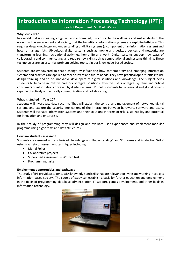## <span id="page-25-0"></span>**Introduction to Information Processing Technology (IPT):**

**Head of Department: Mr Mark Watson**

#### **Why study IPT?**

In a world that is increasingly digitised and automated, it is critical to the wellbeing and sustainability of the economy, the environment and society, that the benefits of information systems are exploited ethically. This requires deep knowledge and understanding of digital systems (a component of an information system) and how to manage risks. Ubiquitous digital systems such as mobile and desktop devices and networks are transforming learning, recreational activities, home life and work. Digital systems support new ways of collaborating and communicating, and require new skills such as computational and systems thinking. These technologies are an essential problem-solving toolset in our knowledge-based society.

Students are empowered to shape change by influencing how contemporary and emerging information systems and practices are applied to meet current and future needs. They have practical opportunities to use design thinking and to be innovative developers of digital solutions and knowledge. The subject helps students to become innovative creators of digital solutions, effective users of digital systems and critical consumers of information conveyed by digital systems. IPT helps students to be regional and global citizens capable of actively and ethically communicating and collaborating.

#### **What is studied in Year 10?**

Students will investigate data security. They will explain the control and management of networked digital systems and explore the security implications of the interaction between hardware, software and users. Students will evaluate information systems and their solutions in terms of risk, sustainability and potential for innovation and enterprise.

In their study of programming they will design and evaluate user experiences and implement modular programs using algorithms and data structures.

#### **How are students assessed?**

Students are assessed in the criteria of 'Knowledge and Understanding', and 'Processes and Production Skills' using a variety of assessment techniques including:

- Digital Folios
- Collaborative projects
- Supervised assessment Written test
- Programming tasks

#### **Employment opportunities and pathways**

The study of IPT provides students with knowledge and skills that are relevant for living and working in today's information-based society. The course of study can establish a basis for further education and employment in the fields of programming, database administration, IT support, games development, and other fields in information technology.

![](_page_25_Picture_16.jpeg)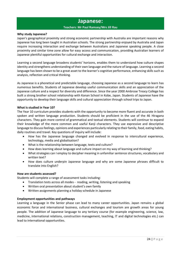## **Japanese:**

#### **Teachers: Mr Paul Ramsey/Mrs Jill Rau**

#### <span id="page-26-0"></span>**Why study Japanese?**

Japan's geographical proximity and strong economic partnership with Australia are important reasons why Japanese has long been taught in Australian schools. The strong partnership enjoyed by Australia and Japan require increasing interaction and exchange between Australians and Japanese speaking people. A close proximity and similar time zone allow for easy access and communication, providing Australian learners of Japanese plentiful opportunities for cultural exchange and interaction.

Learning a second language broadens students' horizons, enables them to understand how culture shapes identity and strengthens understanding of their own language and the nature of language. Learning a second language has been shown to be a great asset to the learner's cognitive performance, enhancing skills such as analysis, reflection and critical thinking.

As Japanese is a phonetical and predictable language, choosing Japanese as a second language to learn has numerous benefits. Students of Japanese develop useful communication skills and an appreciation of the Japanese culture and a respect for diversity and difference. Since the year 2000 Ambrose Treacy College has built a strong brother school relationship with Konan School in Kobe, Japan. Students of Japanese have the opportunity to develop their language skills and cultural appreciation through school trips to Japan.

#### **What is studied in Year 10?**

The Year 10 curriculum provides students with the opportunity to become more fluent and accurate in both spoken and written language production. Students should be proficient in the use of the 46 Hiragana characters. They gain more control of grammatical and textual elements. Students will continue to expand their knowledge of the more common and useful Kanji characters. They use expressive and descriptive language to discuss feelings, opinions and experiences particularly relating to their family, food, eating habits, daily routines and travel. Key questions of inquiry will include:

- How has the Japanese language changed and evolved in response to intercultural experience, technology, media and globalisation?
- What is the relationship between language, texts and culture?
- How does learning about language and culture impact on my way of learning and thinking?
- What strategies can I employ to decipher meaning in unfamiliar sentence structures, vocabulary and written text?
- How does culture underpin Japanese language and why are some Japanese phrases difficult to translate into English?

#### **How are students assessed?**

Students will complete a range of assessment tasks including:

- Translation tests across all modes reading, writing, listening and speaking
- Written oral presentation about student's own family
- Written assignments planning a holiday schedule in Japanese

#### **Employment opportunities and pathways**

Learning a language in the Senior phase can lead to many career opportunities. Japan remains a global economic force and international business, cultural exchanges and tourism are growth areas for young people. The addition of Japanese language to any tertiary course (for example engineering, science, law, medicine, international relations, construction management, teaching, IT and digital technologies etc.) can lead to international opportunities.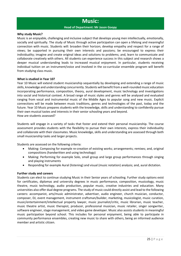## **Music:**

#### **Head of Department: Mr Jason Goopy**

#### <span id="page-27-0"></span>**Why study Music?**

Music is an enjoyable, challenging and inclusive subject that develops young men intellectually, emotionally, socially and spiritually. The study of Music through active participation can open a lifelong and meaningful connection with music. Students will: broaden their horizon; develop empathy and respect for a range of views; be supported in pursuing their own interests and passions; be encouraged to express their individuality; imagine and create original ideas and solutions to problems; and, learn to communicate and collaborate creatively with others. All students can experience success in this subject and research shows a deeper musical understanding leads to increased musical enjoyment. In particular, students receiving individual tuition on an instrument/voice and involved in the co-curricular ensemble program will benefit from studying class music.

#### **What is studied in Year 10?**

Year 10 Music will extend student musicianship sequentially by developing and extending a range of music skills, knowledge and understanding concurrently. Students will benefit from a well-rounded music education incorporating performance, composition, theory, aural development, music technology and investigations into social and historical context. A broad range of music styles and genres will be analysed and evaluated ranging from vocal and instrumental music of the Middle Ages to popular song and new music. Explicit connections will be made between music traditions, genres and technologies of the past, today and the future. Year 10 Music prepares students with the knowledge, skills and understanding to confidently pursue their own musical tastes and interests in their senior schooling years and beyond. How are students assessed?

Students will engage in a variety of tasks that foster and extend their personal musicianship. The course assessment provides students with the flexibility to pursue their own interests, express their individuality and collaborate with their classmates. Music knowledge, skills and understanding are assessed through both small musicianship tasks and larger projects.

Students are assessed on the following criteria:

- Making: Composing for example re-creation of existing works; arrangements; remixes; and, original compositions (handwritten and using technology)
- Making: Performing for example Solo, small group and large group performances through singing and playing instruments
- Responding for example Aural (listening) and visual (music notation) analysis; and, aural dictation.

#### **Further study and careers**

Students can elect to continue studying Music in their Senior years of schooling. Further study options exist for certificates, diplomas and university degrees in music performance, composition, musicology, music theatre, music technology, audio production, popular music, creative industries and education. Many universities also offer dual degree programs. The study of music could directly assist and lead to the following careers: accompanist, arts/music administrator, advertiser, audio engineer, church musician, conductor, composer, DJ, event management, instrument craftsman/builder, marketing, musicologist, music curation, music/entertainment/intellectual property lawyer, music journalist/critic, music librarian, music teacher, music theatre artist, music therapist, producer, professional musician, music retailer, singer songwriter, software engineer, stage management, and video game developer. Music also assists students in meaningful music participation beyond school. This includes for personal enjoyment, being able to participate in community performance ensembles, creating new music to share with others, being an informed audience member and artistic citizen.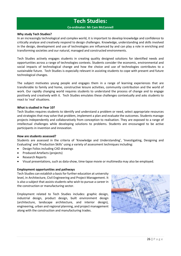## **Tech Studies:**

#### **Co-ordinator: Mr Cam McConnell**

#### <span id="page-28-0"></span>**Why study Tech Studies?**

In an increasingly technological and complex world, it is important to develop knowledge and confidence to critically analyse and creatively respond to design challenges. Knowledge, understanding and skills involved in the design, development and use of technologies are influenced by and can play a role in enriching and transforming societies and our natural, managed and constructed environments.

Tech Studies actively engages students in creating quality designed solutions for identified needs and opportunities across a range of technologies contexts. Students consider the economic, environmental and social impacts of technological change and how the choice and use of technologies contributes to a sustainable future. Tech Studies is especially relevant in assisting students to cope with present and future technological changes.

The subject motivates young people and engages them in a range of learning experiences that are transferable to family and home, constructive leisure activities, community contribution and the world of work. Our rapidly changing world requires students to understand the process of change and to engage positively and creatively with it. Tech Studies emulates these challenges contextually and asks students to react to 'real' situations.

#### **What is studied in Year 10?**

Tech Studies requires students to identify and understand a problem or need, select appropriate resources and strategies that may solve that problem, implement a plan and evaluate the outcomes. Students manage projects independently and collaboratively from conception to realisation. They are exposed to a range of intellectual challenges while developing solutions to problems. Students are encouraged to be active participants in invention and innovation.

#### **How are students assessed?**

Students are assessed in the criteria of 'Knowledge and Understanding', 'Investigating, Designing and Evaluating' and 'Production Skills' using a variety of assessment techniques including:

- Design Folios including CAD drawings
- Produced Artefacts (projects)
- Research Reports
- Visual presentations, such as data-show, time-lapse movie or multimedia may also be employed.

#### **Employment opportunities and pathways**

Tech Studies can establish a basis for further education at university level, in Architecture, Civil Engineering and Project Management. It is also a subject that assists students who wish to pursue a career in the construction or manufacturing sector.

Employment related to Tech Studies includes: graphic design, industrial design, product design, built environment design (architecture, landscape architecture, and interior design), engineering, urban and regional planning, and project management along with the construction and manufacturing trades.

![](_page_28_Picture_17.jpeg)